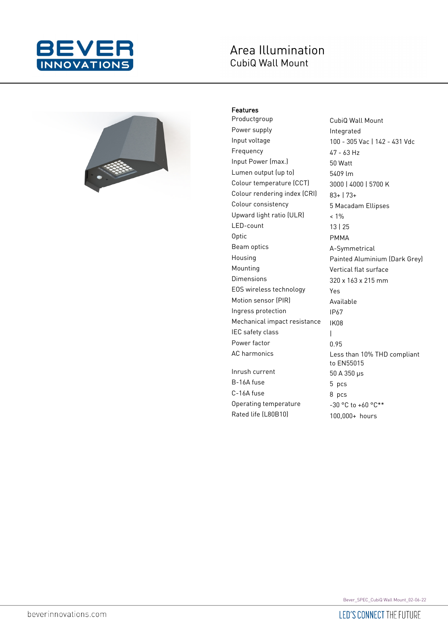

# Area Illumination CubiQ Wall Mount



## Features

Productgroup CubiQ Wall Mount Power supply **Integrated** Input voltage 100 - 305 Vac | 142 - 431 Vdc Frequency 47 - 63 Hz Input Power (max.) 50 Watt Lumen output (up to) 5409 lm Colour temperature (CCT) 3000 | 4000 | 5700 K Colour rendering index (CRI) 83+ | 73+ Colour consistency 5 Macadam Ellipses Upward light ratio (ULR) < 1% LED-count 13 | 25 Optic PMMA Beam optics **A-Symmetrical** Housing Painted Aluminium (Dark Grey) Mounting Vertical flat surface Dimensions 320 x 163 x 215 mm EOS wireless technology Yes Motion sensor (PIR) Available Ingress protection IP67 Mechanical impact resistance IK08 IEC safety class and the same of the latest Power factor 0.95 Inrush current  $50 A 350 \mu s$ B-16A fuse 5 pcs C-16A fuse 8 pcs Operating temperature  $-30 °C$  to +60  $°C**$ 

Less than 10% THD compliant to EN55015 Rated life (L80B10) 100,000+ hours

Bever\_SPEC\_CubiQ Wall Mount\_02-06-22